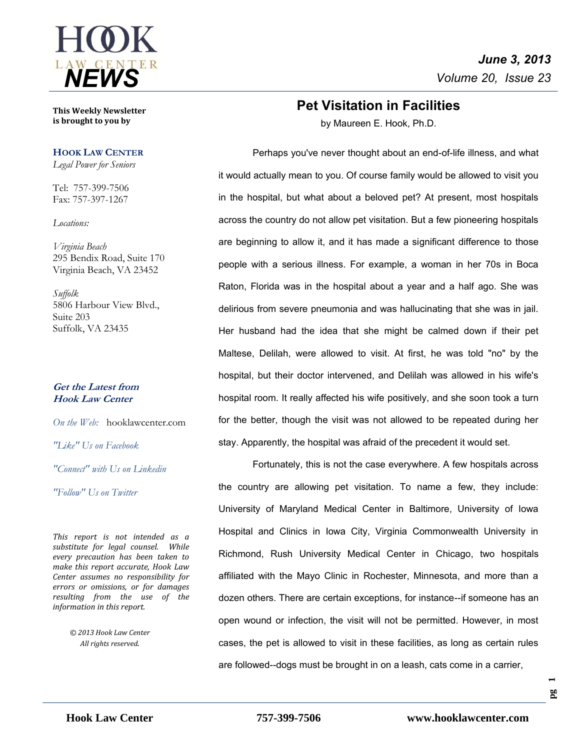

**This Weekly Newsletter is brought to you by** 

#### **HOOK LAW CENTER**

*Legal Power for Seniors*

Tel: 757-399-7506 Fax: 757-397-1267

*Locations:*

*Virginia Beach* 295 Bendix Road, Suite 170 Virginia Beach, VA 23452

*Suffolk* 5806 Harbour View Blvd., Suite 203 Suffolk, VA 23435

#### **Get the Latest from Hook Law Center**

*On the Web:* [hooklawcenter.com](http://www.hooklawcenter.com/)

*"Like" Us on Facebook*

*"Connect" with Us on Linkedin*

*"Follow" Us on Twitter*

*This report is not intended as a substitute for legal counsel. While every precaution has been taken to make this report accurate, Hook Law Center assumes no responsibility for errors or omissions, or for damages resulting from the use of the information in this report.*

> *© 2013 Hook Law Center All rights reserved.*

## **Pet Visitation in Facilities**

by Maureen E. Hook, Ph.D.

Perhaps you've never thought about an end-of-life illness, and what it would actually mean to you. Of course family would be allowed to visit you in the hospital, but what about a beloved pet? At present, most hospitals across the country do not allow pet visitation. But a few pioneering hospitals are beginning to allow it, and it has made a significant difference to those people with a serious illness. For example, a woman in her 70s in Boca Raton, Florida was in the hospital about a year and a half ago. She was delirious from severe pneumonia and was hallucinating that she was in jail. Her husband had the idea that she might be calmed down if their pet Maltese, Delilah, were allowed to visit. At first, he was told "no" by the hospital, but their doctor intervened, and Delilah was allowed in his wife's hospital room. It really affected his wife positively, and she soon took a turn for the better, though the visit was not allowed to be repeated during her stay. Apparently, the hospital was afraid of the precedent it would set.

Fortunately, this is not the case everywhere. A few hospitals across the country are allowing pet visitation. To name a few, they include: University of Maryland Medical Center in Baltimore, University of Iowa Hospital and Clinics in Iowa City, Virginia Commonwealth University in Richmond, Rush University Medical Center in Chicago, two hospitals affiliated with the Mayo Clinic in Rochester, Minnesota, and more than a dozen others. There are certain exceptions, for instance--if someone has an open wound or infection, the visit will not be permitted. However, in most cases, the pet is allowed to visit in these facilities, as long as certain rules are followed--dogs must be brought in on a leash, cats come in a carrier,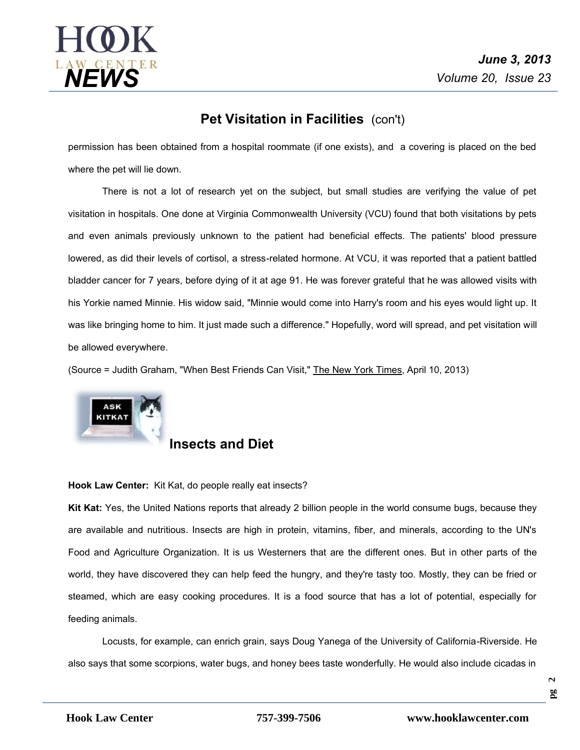

## **Pet Visitation in Facilities** (con't)

permission has been obtained from a hospital roommate (if one exists), and a covering is placed on the bed where the pet will lie down.

There is not a lot of research yet on the subject, but small studies are verifying the value of pet visitation in hospitals. One done at Virginia Commonwealth University (VCU) found that both visitations by pets and even animals previously unknown to the patient had beneficial effects. The patients' blood pressure lowered, as did their levels of cortisol, a stress-related hormone. At VCU, it was reported that a patient battled bladder cancer for 7 years, before dying of it at age 91. He was forever grateful that he was allowed visits with his Yorkie named Minnie. His widow said, "Minnie would come into Harry's room and his eyes would light up. It was like bringing home to him. It just made such a difference." Hopefully, word will spread, and pet visitation will be allowed everywhere.

(Source = Judith Graham, "When Best Friends Can Visit," The New York Times, April 10, 2013)



### **Insects and Diet**

#### **Hook Law Center:** Kit Kat, do people really eat insects?

**Kit Kat:** Yes, the United Nations reports that already 2 billion people in the world consume bugs, because they are available and nutritious. Insects are high in protein, vitamins, fiber, and minerals, according to the UN's Food and Agriculture Organization. It is us Westerners that are the different ones. But in other parts of the world, they have discovered they can help feed the hungry, and they're tasty too. Mostly, they can be fried or steamed, which are easy cooking procedures. It is a food source that has a lot of potential, especially for feeding animals.

Locusts, for example, can enrich grain, says Doug Yanega of the University of California-Riverside. He also says that some scorpions, water bugs, and honey bees taste wonderfully. He would also include cicadas in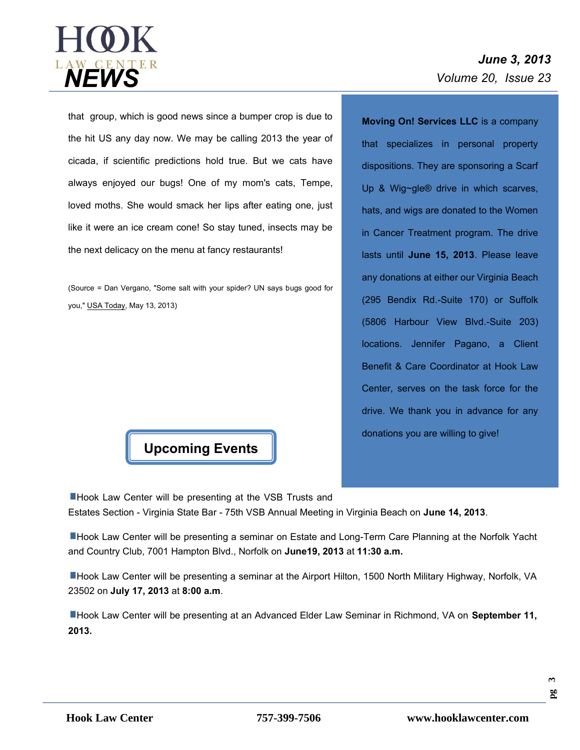

# *June 3, 2013*

that group, which is good news since a bumper crop is due to the hit US any day now. We may be calling 2013 the year of cicada, if scientific predictions hold true. But we cats have always enjoyed our bugs! One of my mom's cats, Tempe, loved moths. She would smack her lips after eating one, just like it were an ice cream cone! So stay tuned, insects may be the next delicacy on the menu at fancy restaurants!

(Source = Dan Vergano, "Some salt with your spider? UN says bugs good for you," USA Today, May 13, 2013)



**Moving On! Services LLC** is a company that specializes in personal property dispositions. They are sponsoring a Scarf Up & Wig~gle® drive in which scarves, hats, and wigs are donated to the Women in Cancer Treatment program. The drive lasts until **June 15, 2013**. Please leave any donations at either our Virginia Beach (295 Bendix Rd.-Suite 170) or Suffolk (5806 Harbour View Blvd.-Suite 203) locations. Jennifer Pagano, a Client Benefit & Care Coordinator at Hook Law Center, serves on the task force for the drive. We thank you in advance for any donations you are willing to give!

■Hook Law Center will be presenting at the VSB Trusts and

Estates Section - Virginia State Bar -75th VSB Annual Meeting in Virginia Beach on **June 14, 2013**.

**Hook Law Center will be presenting a seminar on Estate and Long-Term Care Planning at the Norfolk Yacht** and Country Club, 7001 Hampton Blvd., Norfolk on **June19, 2013** at**11:30 a.m.**

Hook Law Center will be presenting a seminar at the Airport Hilton, 1500 North Military Highway, Norfolk, VA 23502 on **July 17, 2013** at **8:00 a.m**.

Hook Law Center will be presenting at an Advanced Elder Law Seminar in Richmond, VA on **September 11, 2013.**